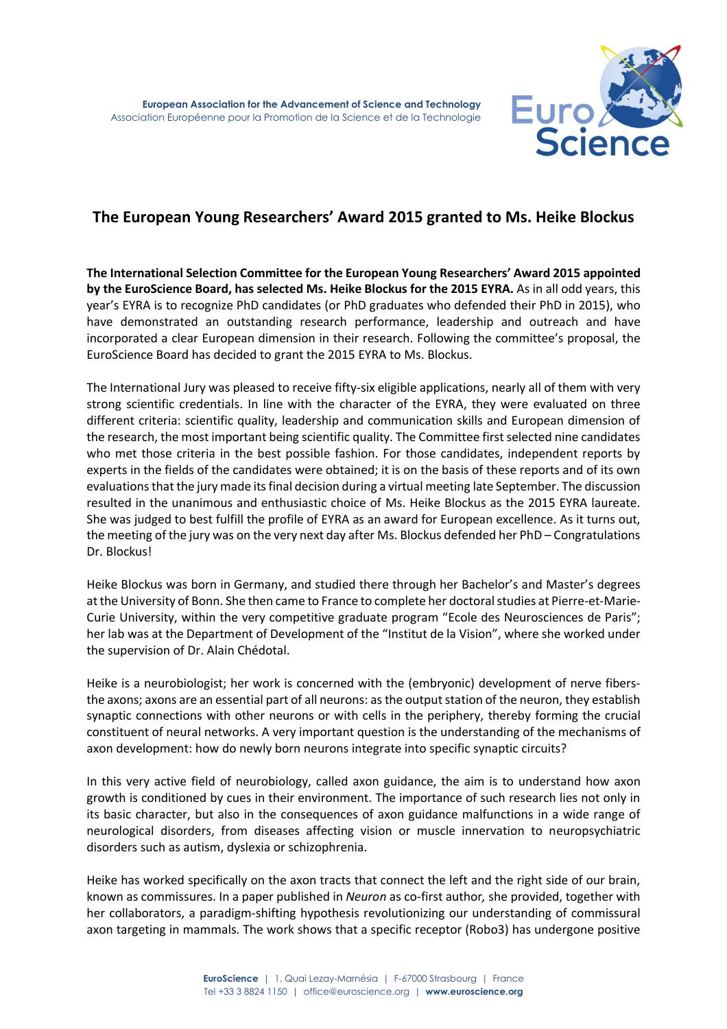

## **The European Young Researchers' Award 2015 granted to Ms. Heike Blockus**

**The International Selection Committee for the European Young Researchers' Award 2015 appointed by the EuroScience Board, has selected Ms. Heike Blockus for the 2015 EYRA.** As in all odd years, this year's EYRA is to recognize PhD candidates (or PhD graduates who defended their PhD in 2015), who have demonstrated an outstanding research performance, leadership and outreach and have incorporated a clear European dimension in their research. Following the committee's proposal, the EuroScience Board has decided to grant the 2015 EYRA to Ms. Blockus.

The International Jury was pleased to receive fifty-six eligible applications, nearly all of them with very strong scientific credentials. In line with the character of the EYRA, they were evaluated on three different criteria: scientific quality, leadership and communication skills and European dimension of the research, the most important being scientific quality. The Committee first selected nine candidates who met those criteria in the best possible fashion. For those candidates, independent reports by experts in the fields of the candidates were obtained; it is on the basis of these reports and of its own evaluations that the jury made its final decision during a virtual meeting late September. The discussion resulted in the unanimous and enthusiastic choice of Ms. Heike Blockus as the 2015 EYRA laureate. She was judged to best fulfill the profile of EYRA as an award for European excellence. As it turns out, the meeting of the jury was on the very next day after Ms. Blockus defended her PhD – Congratulations Dr. Blockus!

Heike Blockus was born in Germany, and studied there through her Bachelor's and Master's degrees at the University of Bonn. She then came to France to complete her doctoral studies at Pierre-et-Marie-Curie University, within the very competitive graduate program "Ecole des Neurosciences de Paris"; her lab was at the Department of Development of the "Institut de la Vision", where she worked under the supervision of Dr. Alain Chédotal.

Heike is a neurobiologist; her work is concerned with the (embryonic) development of nerve fibersthe axons; axons are an essential part of all neurons: as the output station of the neuron, they establish synaptic connections with other neurons or with cells in the periphery, thereby forming the crucial constituent of neural networks. A very important question is the understanding of the mechanisms of axon development: how do newly born neurons integrate into specific synaptic circuits?

In this very active field of neurobiology, called axon guidance, the aim is to understand how axon growth is conditioned by cues in their environment. The importance of such research lies not only in its basic character, but also in the consequences of axon guidance malfunctions in a wide range of neurological disorders, from diseases affecting vision or muscle innervation to neuropsychiatric disorders such as autism, dyslexia or schizophrenia.

Heike has worked specifically on the axon tracts that connect the left and the right side of our brain, known as commissures. In a paper published in *Neuron* as co-first author*,* she provided, together with her collaborators, a paradigm-shifting hypothesis revolutionizing our understanding of commissural axon targeting in mammals. The work shows that a specific receptor (Robo3) has undergone positive